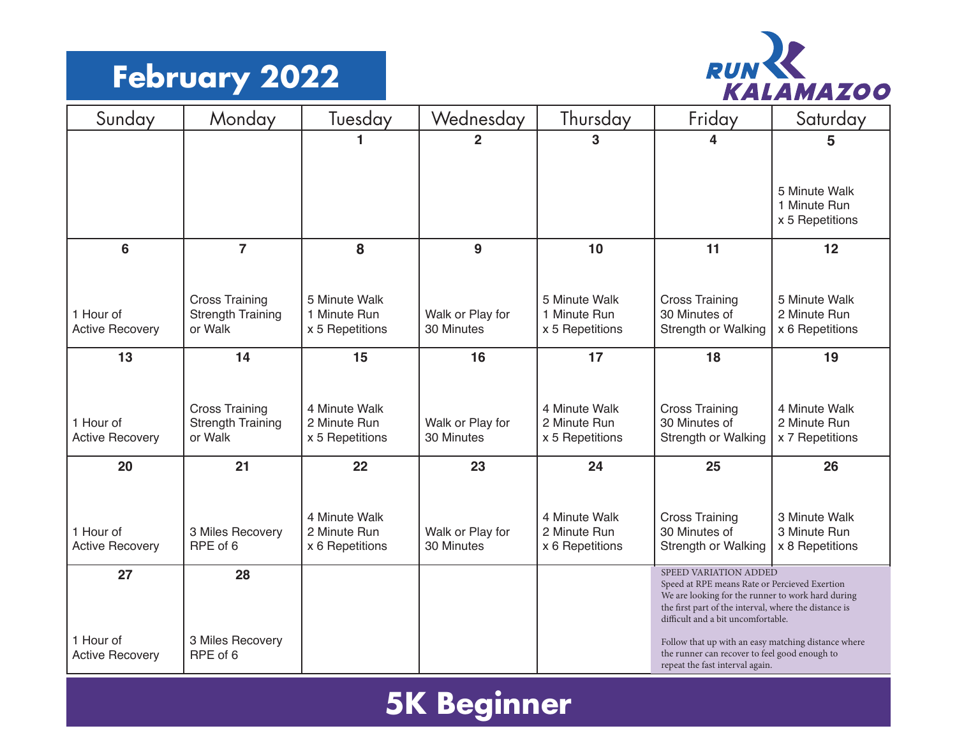## **February 2022**



| Sunday                              | Monday                                            | Tuesday                         | Wednesday                      | Thursday                        | Friday                                                                                                                                           | Saturday                        |  |
|-------------------------------------|---------------------------------------------------|---------------------------------|--------------------------------|---------------------------------|--------------------------------------------------------------------------------------------------------------------------------------------------|---------------------------------|--|
|                                     |                                                   |                                 | $\overline{2}$                 | 3                               | 4                                                                                                                                                | 5                               |  |
|                                     |                                                   |                                 |                                |                                 |                                                                                                                                                  |                                 |  |
|                                     |                                                   |                                 |                                |                                 |                                                                                                                                                  | 5 Minute Walk<br>1 Minute Run   |  |
|                                     |                                                   |                                 |                                |                                 |                                                                                                                                                  | x 5 Repetitions                 |  |
| 6                                   | $\overline{7}$                                    | 8                               | 9                              | 10                              | 11                                                                                                                                               | 12                              |  |
|                                     |                                                   |                                 |                                |                                 |                                                                                                                                                  |                                 |  |
|                                     | <b>Cross Training</b>                             | 5 Minute Walk                   |                                | 5 Minute Walk                   | <b>Cross Training</b>                                                                                                                            | 5 Minute Walk                   |  |
| 1 Hour of<br><b>Active Recovery</b> | <b>Strength Training</b><br>or Walk               | 1 Minute Run<br>x 5 Repetitions | Walk or Play for<br>30 Minutes | 1 Minute Run<br>x 5 Repetitions | 30 Minutes of<br><b>Strength or Walking</b>                                                                                                      | 2 Minute Run<br>x 6 Repetitions |  |
| 13                                  | 14                                                | 15                              | 16                             | 17                              | 18                                                                                                                                               | 19                              |  |
|                                     |                                                   |                                 |                                |                                 |                                                                                                                                                  |                                 |  |
|                                     |                                                   |                                 |                                |                                 |                                                                                                                                                  |                                 |  |
| 1 Hour of                           | <b>Cross Training</b><br><b>Strength Training</b> | 4 Minute Walk<br>2 Minute Run   | Walk or Play for               | 4 Minute Walk<br>2 Minute Run   | <b>Cross Training</b><br>30 Minutes of                                                                                                           | 4 Minute Walk<br>2 Minute Run   |  |
| <b>Active Recovery</b>              | or Walk                                           | x 5 Repetitions                 | 30 Minutes                     | x 5 Repetitions                 | <b>Strength or Walking</b>                                                                                                                       | x 7 Repetitions                 |  |
| 20                                  | 21                                                | 22                              | 23                             | 24                              | 25                                                                                                                                               | 26                              |  |
|                                     |                                                   |                                 |                                |                                 |                                                                                                                                                  |                                 |  |
|                                     |                                                   | 4 Minute Walk                   |                                | 4 Minute Walk                   | <b>Cross Training</b>                                                                                                                            | 3 Minute Walk                   |  |
| 1 Hour of<br><b>Active Recovery</b> | 3 Miles Recovery<br>RPE of 6                      | 2 Minute Run                    | Walk or Play for<br>30 Minutes | 2 Minute Run                    | 30 Minutes of<br>Strength or Walking                                                                                                             | 3 Minute Run                    |  |
|                                     |                                                   | x 6 Repetitions                 |                                | x 6 Repetitions                 |                                                                                                                                                  | x 8 Repetitions                 |  |
| 27                                  | 28                                                |                                 |                                |                                 | SPEED VARIATION ADDED<br>Speed at RPE means Rate or Percieved Exertion                                                                           |                                 |  |
|                                     |                                                   |                                 |                                |                                 | We are looking for the runner to work hard during<br>the first part of the interval, where the distance is<br>difficult and a bit uncomfortable. |                                 |  |
| 1 Hour of<br><b>Active Recovery</b> | 3 Miles Recovery<br>RPE of 6                      |                                 |                                |                                 | Follow that up with an easy matching distance where<br>the runner can recover to feel good enough to<br>repeat the fast interval again.          |                                 |  |

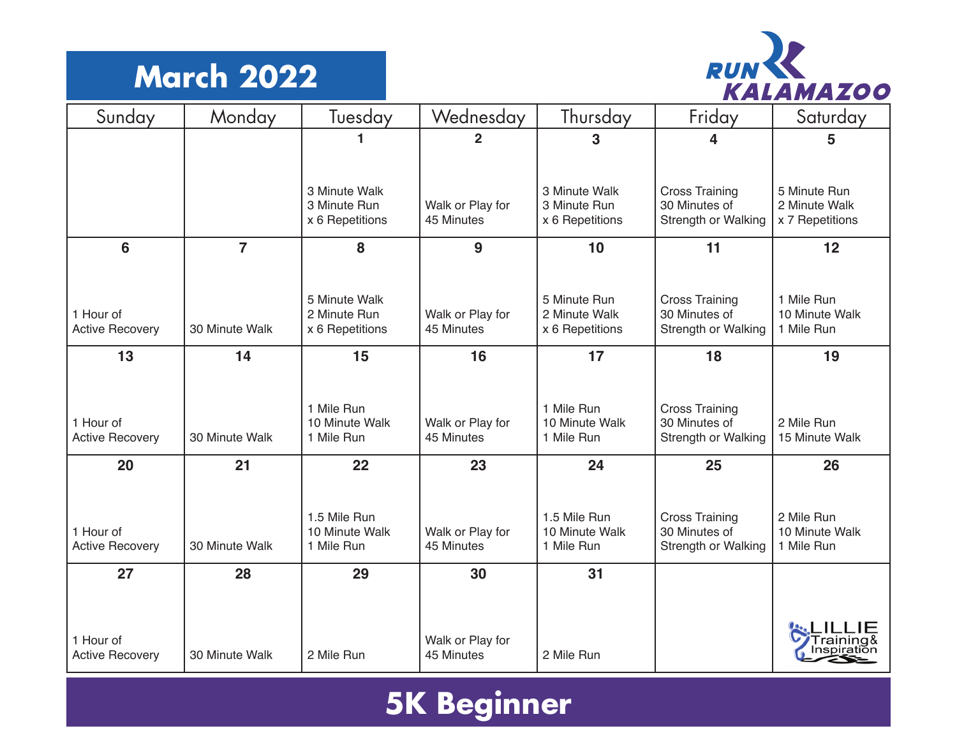## **March 2022**



| Sunday                              | Monday         | Tuesday                                          | Wednesday                      | Thursday                                         | Friday                                                        | Saturday                                         |
|-------------------------------------|----------------|--------------------------------------------------|--------------------------------|--------------------------------------------------|---------------------------------------------------------------|--------------------------------------------------|
|                                     |                |                                                  | 2                              | 3                                                | 4                                                             | 5                                                |
|                                     |                |                                                  |                                |                                                  |                                                               |                                                  |
|                                     |                | 3 Minute Walk<br>3 Minute Run<br>x 6 Repetitions | Walk or Play for<br>45 Minutes | 3 Minute Walk<br>3 Minute Run<br>x 6 Repetitions | <b>Cross Training</b><br>30 Minutes of<br>Strength or Walking | 5 Minute Run<br>2 Minute Walk<br>x 7 Repetitions |
|                                     |                |                                                  |                                |                                                  |                                                               |                                                  |
| 6                                   | $\overline{7}$ | 8                                                | 9                              | 10                                               | 11                                                            | 12                                               |
|                                     |                |                                                  |                                |                                                  |                                                               |                                                  |
| 1 Hour of                           |                | 5 Minute Walk<br>2 Minute Run                    | Walk or Play for               | 5 Minute Run<br>2 Minute Walk                    | <b>Cross Training</b><br>30 Minutes of                        | 1 Mile Run<br>10 Minute Walk                     |
| <b>Active Recovery</b>              | 30 Minute Walk | x 6 Repetitions                                  | 45 Minutes                     | x 6 Repetitions                                  | Strength or Walking                                           | 1 Mile Run                                       |
| 13                                  | 14             | 15                                               | 16                             | 17                                               | 18                                                            | 19                                               |
|                                     |                |                                                  |                                |                                                  |                                                               |                                                  |
|                                     |                | 1 Mile Run                                       |                                | 1 Mile Run                                       | <b>Cross Training</b>                                         |                                                  |
| 1 Hour of                           |                | 10 Minute Walk                                   | Walk or Play for               | 10 Minute Walk                                   | 30 Minutes of                                                 | 2 Mile Run                                       |
| <b>Active Recovery</b>              | 30 Minute Walk | 1 Mile Run                                       | 45 Minutes                     | 1 Mile Run                                       | Strength or Walking                                           | 15 Minute Walk                                   |
| 20                                  | 21             | 22                                               | 23                             | 24                                               | 25                                                            | 26                                               |
|                                     |                |                                                  |                                |                                                  |                                                               |                                                  |
|                                     |                | 1.5 Mile Run                                     |                                | 1.5 Mile Run                                     | <b>Cross Training</b>                                         | 2 Mile Run                                       |
| 1 Hour of<br><b>Active Recovery</b> | 30 Minute Walk | 10 Minute Walk<br>1 Mile Run                     | Walk or Play for<br>45 Minutes | 10 Minute Walk<br>1 Mile Run                     | 30 Minutes of<br>Strength or Walking                          | 10 Minute Walk<br>1 Mile Run                     |
| 27                                  | 28             | 29                                               | 30                             | 31                                               |                                                               |                                                  |
|                                     |                |                                                  |                                |                                                  |                                                               |                                                  |
|                                     |                |                                                  |                                |                                                  |                                                               |                                                  |
| 1 Hour of                           |                |                                                  | Walk or Play for               |                                                  |                                                               |                                                  |
| <b>Active Recovery</b>              | 30 Minute Walk | 2 Mile Run                                       | 45 Minutes                     | 2 Mile Run                                       |                                                               |                                                  |

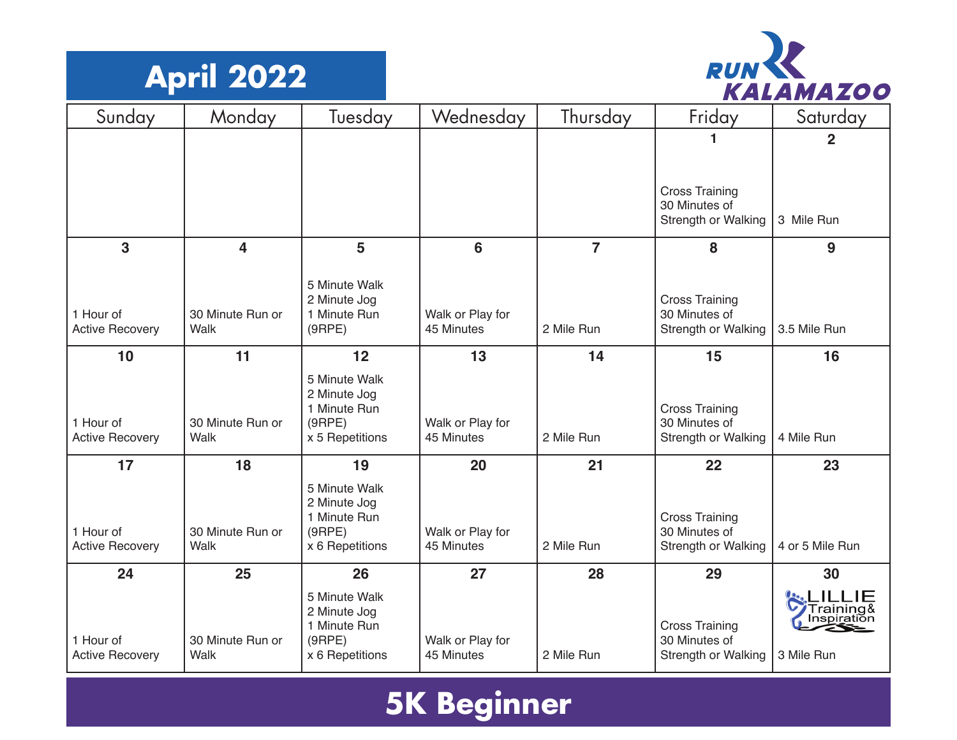



| Sunday                              | Monday                   | <b>Tuesday</b>                                                             | Wednesday                      | Thursday       | Friday                                                        | Saturday                               |
|-------------------------------------|--------------------------|----------------------------------------------------------------------------|--------------------------------|----------------|---------------------------------------------------------------|----------------------------------------|
|                                     |                          |                                                                            |                                |                |                                                               | $\overline{2}$                         |
|                                     |                          |                                                                            |                                |                | <b>Cross Training</b><br>30 Minutes of<br>Strength or Walking | 3 Mile Run                             |
| 3                                   | 4                        | 5                                                                          | 6                              | $\overline{7}$ | 8                                                             | 9                                      |
| 1 Hour of<br><b>Active Recovery</b> | 30 Minute Run or<br>Walk | 5 Minute Walk<br>2 Minute Jog<br>1 Minute Run<br>(9RPE)                    | Walk or Play for<br>45 Minutes | 2 Mile Run     | <b>Cross Training</b><br>30 Minutes of<br>Strength or Walking | 3.5 Mile Run                           |
| 10                                  | 11                       | 12                                                                         | 13                             | 14             | 15                                                            | 16                                     |
| 1 Hour of<br><b>Active Recovery</b> | 30 Minute Run or<br>Walk | 5 Minute Walk<br>2 Minute Jog<br>1 Minute Run<br>(9RPE)<br>x 5 Repetitions | Walk or Play for<br>45 Minutes | 2 Mile Run     | <b>Cross Training</b><br>30 Minutes of<br>Strength or Walking | 4 Mile Run                             |
| 17                                  | 18                       | 19                                                                         | 20                             | 21             | 22                                                            | 23                                     |
| 1 Hour of<br><b>Active Recovery</b> | 30 Minute Run or<br>Walk | 5 Minute Walk<br>2 Minute Jog<br>1 Minute Run<br>(9RPE)<br>x 6 Repetitions | Walk or Play for<br>45 Minutes | 2 Mile Run     | <b>Cross Training</b><br>30 Minutes of<br>Strength or Walking | 4 or 5 Mile Run                        |
| 24                                  | 25                       | 26                                                                         | 27                             | 28             | 29                                                            | 30                                     |
| 1 Hour of<br><b>Active Recovery</b> | 30 Minute Run or<br>Walk | 5 Minute Walk<br>2 Minute Jog<br>1 Minute Run<br>(9RPE)<br>x 6 Repetitions | Walk or Play for<br>45 Minutes | 2 Mile Run     | <b>Cross Training</b><br>30 Minutes of<br>Strength or Walking | Training&<br>Inspiration<br>3 Mile Run |

## **5K Beginner**